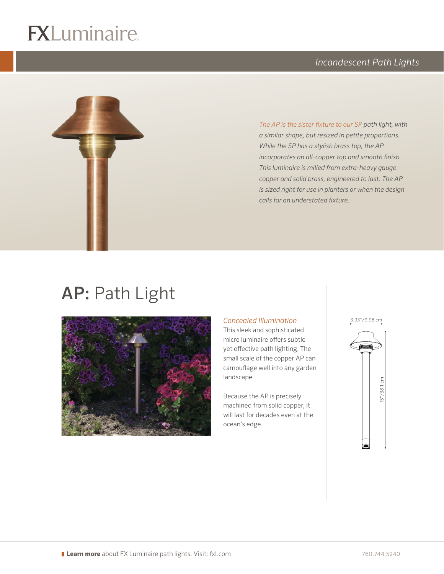# $\overline{\mathbb{R}}$





logo (4-color CMYK)

*The AP is the sister fixture to our SP path light, with a similar shape, but resized in petite proportions. While the SP has a stylish brass top, the AP incorporates an all-copper top and smooth finish. This luminaire is milled from extra-heavy gauge copper and solid brass, engineered to last. The AP is sized right for use in planters or when the design calls for an understated fixture.*

## AP: Path Light



#### *Concealed Illumination*

This sleek and sophisticated micro luminaire offers subtle yet effective path lighting. The small scale of the copper AP can camouflage well into any garden landscape.

Because the AP is precisely machined from solid copper, it will last for decades even at the ocean's edge.

3.93"/9.98 cm